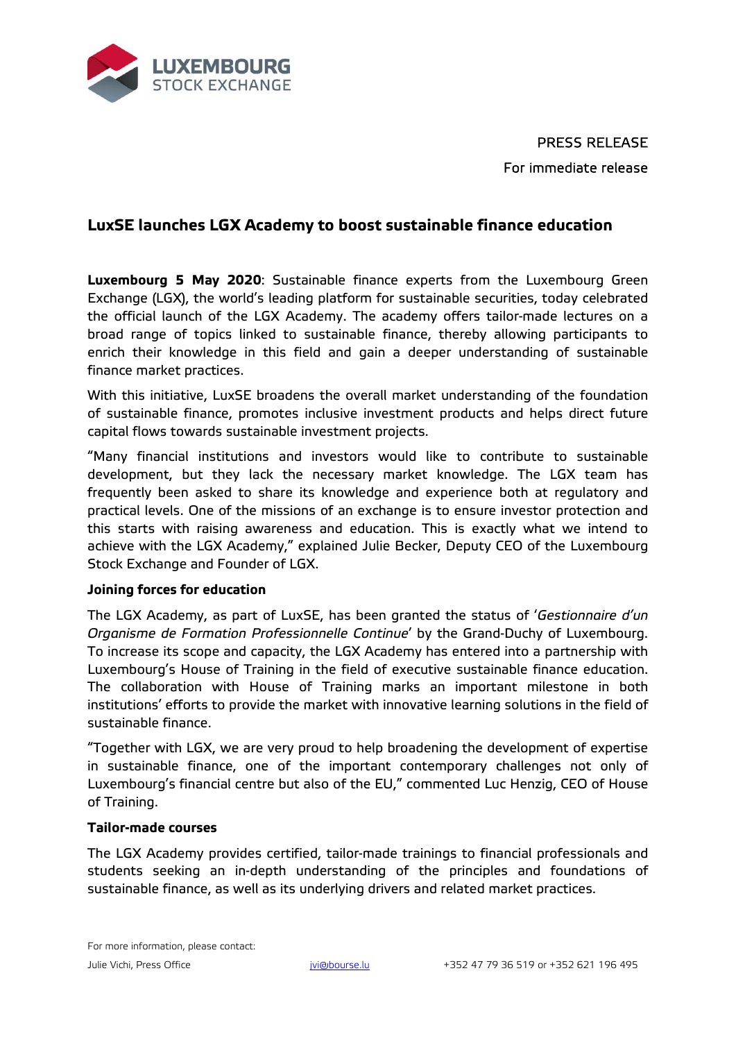

PRESS RELEASE For immediate release

# **LuxSE launches LGX Academy to boost sustainable finance education**

**Luxembourg 5 May 2020**: Sustainable finance experts from the Luxembourg Green Exchange (LGX), the world's leading platform for sustainable securities, today celebrated the official launch of the LGX Academy. The academy offers tailor-made lectures on a broad range of topics linked to sustainable finance, thereby allowing participants to enrich their knowledge in this field and gain a deeper understanding of sustainable finance market practices.

With this initiative, LuxSE broadens the overall market understanding of the foundation of sustainable finance, promotes inclusive investment products and helps direct future capital flows towards sustainable investment projects.

"Many financial institutions and investors would like to contribute to sustainable development, but they lack the necessary market knowledge. The LGX team has frequently been asked to share its knowledge and experience both at regulatory and practical levels. One of the missions of an exchange is to ensure investor protection and this starts with raising awareness and education. This is exactly what we intend to achieve with the LGX Academy," explained Julie Becker, Deputy CEO of the Luxembourg Stock Exchange and Founder of LGX.

### **Joining forces for education**

The LGX Academy, as part of LuxSE, has been granted the status of '*Gestionnaire d'un Organisme de Formation Professionnelle Continue*' by the Grand-Duchy of Luxembourg. To increase its scope and capacity, the LGX Academy has entered into a partnership with Luxembourg's House of Training in the field of executive sustainable finance education. The collaboration with House of Training marks an important milestone in both institutions' efforts to provide the market with innovative learning solutions in the field of sustainable finance.

"Together with LGX, we are very proud to help broadening the development of expertise in sustainable finance, one of the important contemporary challenges not only of Luxembourg's financial centre but also of the EU," commented Luc Henzig, CEO of House of Training.

### **Tailor-made courses**

The LGX Academy provides certified, tailor-made trainings to financial professionals and students seeking an in-depth understanding of the principles and foundations of sustainable finance, as well as its underlying drivers and related market practices.